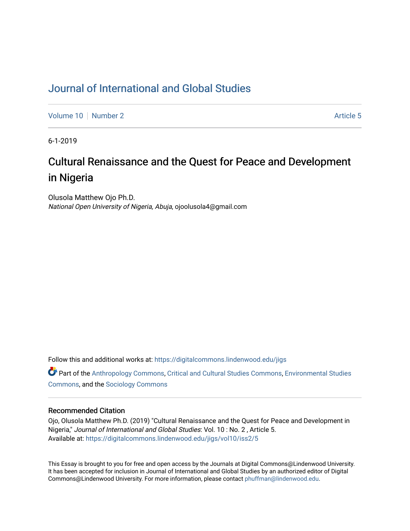# [Journal of International and Global Studies](https://digitalcommons.lindenwood.edu/jigs)

[Volume 10](https://digitalcommons.lindenwood.edu/jigs/vol10) [Number 2](https://digitalcommons.lindenwood.edu/jigs/vol10/iss2) Article 5

6-1-2019

# Cultural Renaissance and the Quest for Peace and Development in Nigeria

Olusola Matthew Ojo Ph.D. National Open University of Nigeria, Abuja, ojoolusola4@gmail.com

Follow this and additional works at: [https://digitalcommons.lindenwood.edu/jigs](https://digitalcommons.lindenwood.edu/jigs?utm_source=digitalcommons.lindenwood.edu%2Fjigs%2Fvol10%2Fiss2%2F5&utm_medium=PDF&utm_campaign=PDFCoverPages) 

**C** Part of the [Anthropology Commons](http://network.bepress.com/hgg/discipline/318?utm_source=digitalcommons.lindenwood.edu%2Fjigs%2Fvol10%2Fiss2%2F5&utm_medium=PDF&utm_campaign=PDFCoverPages), [Critical and Cultural Studies Commons](http://network.bepress.com/hgg/discipline/328?utm_source=digitalcommons.lindenwood.edu%2Fjigs%2Fvol10%2Fiss2%2F5&utm_medium=PDF&utm_campaign=PDFCoverPages), Environmental Studies [Commons](http://network.bepress.com/hgg/discipline/1333?utm_source=digitalcommons.lindenwood.edu%2Fjigs%2Fvol10%2Fiss2%2F5&utm_medium=PDF&utm_campaign=PDFCoverPages), and the [Sociology Commons](http://network.bepress.com/hgg/discipline/416?utm_source=digitalcommons.lindenwood.edu%2Fjigs%2Fvol10%2Fiss2%2F5&utm_medium=PDF&utm_campaign=PDFCoverPages)

# Recommended Citation

Ojo, Olusola Matthew Ph.D. (2019) "Cultural Renaissance and the Quest for Peace and Development in Nigeria," Journal of International and Global Studies: Vol. 10 : No. 2 , Article 5. Available at: [https://digitalcommons.lindenwood.edu/jigs/vol10/iss2/5](https://digitalcommons.lindenwood.edu/jigs/vol10/iss2/5?utm_source=digitalcommons.lindenwood.edu%2Fjigs%2Fvol10%2Fiss2%2F5&utm_medium=PDF&utm_campaign=PDFCoverPages) 

This Essay is brought to you for free and open access by the Journals at Digital Commons@Lindenwood University. It has been accepted for inclusion in Journal of International and Global Studies by an authorized editor of Digital Commons@Lindenwood University. For more information, please contact [phuffman@lindenwood.edu](mailto:phuffman@lindenwood.edu).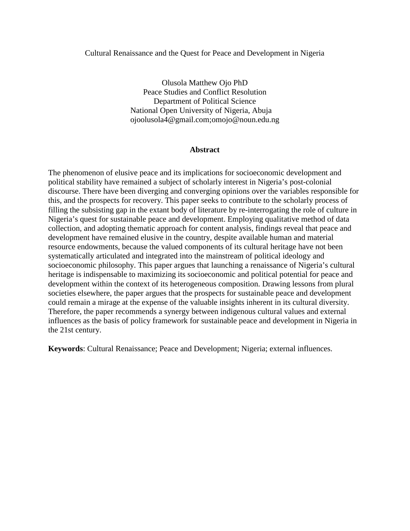# Cultural Renaissance and the Quest for Peace and Development in Nigeria

Olusola Matthew Ojo PhD Peace Studies and Conflict Resolution Department of Political Science National Open University of Nigeria, Abuja ojoolusola4@gmail.com;omojo@noun.edu.ng

#### **Abstract**

The phenomenon of elusive peace and its implications for socioeconomic development and political stability have remained a subject of scholarly interest in Nigeria's post-colonial discourse. There have been diverging and converging opinions over the variables responsible for this, and the prospects for recovery. This paper seeks to contribute to the scholarly process of filling the subsisting gap in the extant body of literature by re-interrogating the role of culture in Nigeria's quest for sustainable peace and development. Employing qualitative method of data collection, and adopting thematic approach for content analysis, findings reveal that peace and development have remained elusive in the country, despite available human and material resource endowments, because the valued components of its cultural heritage have not been systematically articulated and integrated into the mainstream of political ideology and socioeconomic philosophy. This paper argues that launching a renaissance of Nigeria's cultural heritage is indispensable to maximizing its socioeconomic and political potential for peace and development within the context of its heterogeneous composition. Drawing lessons from plural societies elsewhere, the paper argues that the prospects for sustainable peace and development could remain a mirage at the expense of the valuable insights inherent in its cultural diversity. Therefore, the paper recommends a synergy between indigenous cultural values and external influences as the basis of policy framework for sustainable peace and development in Nigeria in the 21st century.

**Keywords**: Cultural Renaissance; Peace and Development; Nigeria; external influences.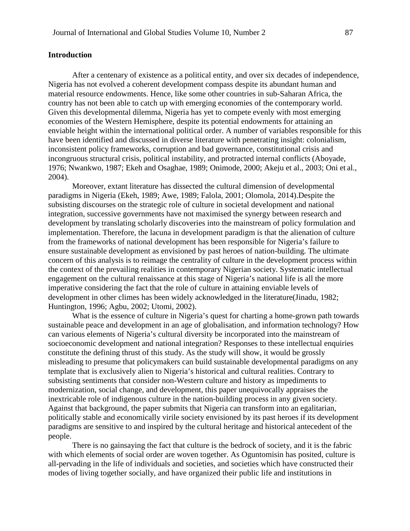# **Introduction**

After a centenary of existence as a political entity, and over six decades of independence, Nigeria has not evolved a coherent development compass despite its abundant human and material resource endowments. Hence, like some other countries in sub-Saharan Africa, the country has not been able to catch up with emerging economies of the contemporary world. Given this developmental dilemma, Nigeria has yet to compete evenly with most emerging economies of the Western Hemisphere, despite its potential endowments for attaining an enviable height within the international political order. A number of variables responsible for this have been identified and discussed in diverse literature with penetrating insight: colonialism, inconsistent policy frameworks, corruption and bad governance, constitutional crisis and incongruous structural crisis, political instability, and protracted internal conflicts (Aboyade, 1976; Nwankwo, 1987; Ekeh and Osaghae, 1989; Onimode, 2000; Akeju et al., 2003; Oni et al., 2004).

Moreover, extant literature has dissected the cultural dimension of developmental paradigms in Nigeria (Ekeh, 1989; Awe, 1989; Falola, 2001; Olomola, 2014).Despite the subsisting discourses on the strategic role of culture in societal development and national integration, successive governments have not maximised the synergy between research and development by translating scholarly discoveries into the mainstream of policy formulation and implementation. Therefore, the lacuna in development paradigm is that the alienation of culture from the frameworks of national development has been responsible for Nigeria's failure to ensure sustainable development as envisioned by past heroes of nation-building. The ultimate concern of this analysis is to reimage the centrality of culture in the development process within the context of the prevailing realities in contemporary Nigerian society. Systematic intellectual engagement on the cultural renaissance at this stage of Nigeria's national life is all the more imperative considering the fact that the role of culture in attaining enviable levels of development in other climes has been widely acknowledged in the literature(Jinadu, 1982; Huntington, 1996; Agbu, 2002; Utomi, 2002).

What is the essence of culture in Nigeria's quest for charting a home-grown path towards sustainable peace and development in an age of globalisation, and information technology? How can various elements of Nigeria's cultural diversity be incorporated into the mainstream of socioeconomic development and national integration? Responses to these intellectual enquiries constitute the defining thrust of this study. As the study will show, it would be grossly misleading to presume that policymakers can build sustainable developmental paradigms on any template that is exclusively alien to Nigeria's historical and cultural realities. Contrary to subsisting sentiments that consider non-Western culture and history as impediments to modernization, social change, and development, this paper unequivocally appraises the inextricable role of indigenous culture in the nation-building process in any given society. Against that background, the paper submits that Nigeria can transform into an egalitarian, politically stable and economically virile society envisioned by its past heroes if its development paradigms are sensitive to and inspired by the cultural heritage and historical antecedent of the people.

There is no gainsaying the fact that culture is the bedrock of society, and it is the fabric with which elements of social order are woven together. As Oguntomisin has posited, culture is all-pervading in the life of individuals and societies, and societies which have constructed their modes of living together socially, and have organized their public life and institutions in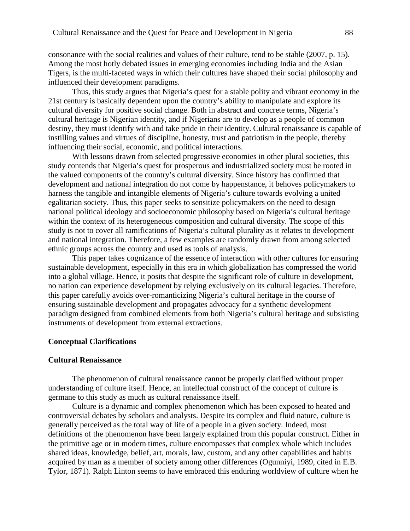consonance with the social realities and values of their culture, tend to be stable (2007, p. 15). Among the most hotly debated issues in emerging economies including India and the Asian Tigers, is the multi-faceted ways in which their cultures have shaped their social philosophy and influenced their development paradigms.

Thus, this study argues that Nigeria's quest for a stable polity and vibrant economy in the 21st century is basically dependent upon the country's ability to manipulate and explore its cultural diversity for positive social change. Both in abstract and concrete terms, Nigeria's cultural heritage is Nigerian identity, and if Nigerians are to develop as a people of common destiny, they must identify with and take pride in their identity. Cultural renaissance is capable of instilling values and virtues of discipline, honesty, trust and patriotism in the people, thereby influencing their social, economic, and political interactions.

With lessons drawn from selected progressive economies in other plural societies, this study contends that Nigeria's quest for prosperous and industrialized society must be rooted in the valued components of the country's cultural diversity. Since history has confirmed that development and national integration do not come by happenstance, it behoves policymakers to harness the tangible and intangible elements of Nigeria's culture towards evolving a united egalitarian society. Thus, this paper seeks to sensitize policymakers on the need to design national political ideology and socioeconomic philosophy based on Nigeria's cultural heritage within the context of its heterogeneous composition and cultural diversity. The scope of this study is not to cover all ramifications of Nigeria's cultural plurality as it relates to development and national integration. Therefore, a few examples are randomly drawn from among selected ethnic groups across the country and used as tools of analysis.

This paper takes cognizance of the essence of interaction with other cultures for ensuring sustainable development, especially in this era in which globalization has compressed the world into a global village. Hence, it posits that despite the significant role of culture in development, no nation can experience development by relying exclusively on its cultural legacies. Therefore, this paper carefully avoids over-romanticizing Nigeria's cultural heritage in the course of ensuring sustainable development and propagates advocacy for a synthetic development paradigm designed from combined elements from both Nigeria's cultural heritage and subsisting instruments of development from external extractions.

#### **Conceptual Clarifications**

#### **Cultural Renaissance**

The phenomenon of cultural renaissance cannot be properly clarified without proper understanding of culture itself. Hence, an intellectual construct of the concept of culture is germane to this study as much as cultural renaissance itself.

Culture is a dynamic and complex phenomenon which has been exposed to heated and controversial debates by scholars and analysts. Despite its complex and fluid nature, culture is generally perceived as the total way of life of a people in a given society. Indeed, most definitions of the phenomenon have been largely explained from this popular construct. Either in the primitive age or in modern times, culture encompasses that complex whole which includes shared ideas, knowledge, belief, art, morals, law, custom, and any other capabilities and habits acquired by man as a member of society among other differences (Ogunniyi, 1989, cited in E.B. Tylor, 1871). Ralph Linton seems to have embraced this enduring worldview of culture when he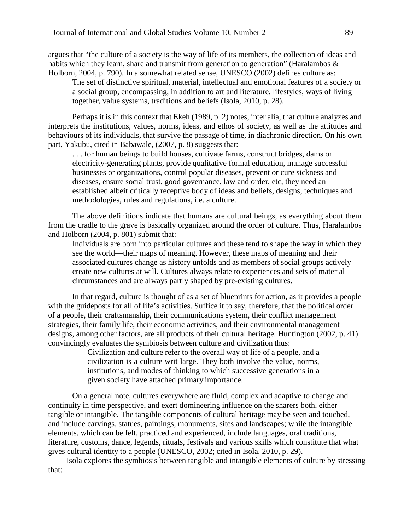argues that "the culture of a society is the way of life of its members, the collection of ideas and habits which they learn, share and transmit from generation to generation" (Haralambos  $\&$ Holborn, 2004, p. 790). In a somewhat related sense, UNESCO (2002) defines culture as:

The set of distinctive spiritual, material, intellectual and emotional features of a society or a social group, encompassing, in addition to art and literature, lifestyles, ways of living together, value systems, traditions and beliefs (Isola, 2010, p. 28).

Perhaps it is in this context that Ekeh (1989, p. 2) notes, inter alia, that culture analyzes and interprets the institutions, values, norms, ideas, and ethos of society, as well as the attitudes and behaviours of its individuals, that survive the passage of time, in diachronic direction. On his own part, Yakubu, cited in Babawale, (2007, p. 8) suggests that:

. . . for human beings to build houses, cultivate farms, construct bridges, dams or electricity-generating plants, provide qualitative formal education, manage successful businesses or organizations, control popular diseases, prevent or cure sickness and diseases, ensure social trust, good governance, law and order, etc, they need an established albeit critically receptive body of ideas and beliefs, designs, techniques and methodologies, rules and regulations, i.e. a culture.

The above definitions indicate that humans are cultural beings, as everything about them from the cradle to the grave is basically organized around the order of culture. Thus, Haralambos and Holborn (2004, p. 801) submit that:

Individuals are born into particular cultures and these tend to shape the way in which they see the world—their maps of meaning. However, these maps of meaning and their associated cultures change as history unfolds and as members of social groups actively create new cultures at will. Cultures always relate to experiences and sets of material circumstances and are always partly shaped by pre-existing cultures.

In that regard, culture is thought of as a set of blueprints for action, as it provides a people with the guideposts for all of life's activities. Suffice it to say, therefore, that the political order of a people, their craftsmanship, their communications system, their conflict management strategies, their family life, their economic activities, and their environmental management designs, among other factors, are all products of their cultural heritage. Huntington (2002, p. 41) convincingly evaluates the symbiosis between culture and civilization thus:

> Civilization and culture refer to the overall way of life of a people, and a civilization is a culture writ large. They both involve the value, norms, institutions, and modes of thinking to which successive generations in a given society have attached primary importance.

On a general note, cultures everywhere are fluid, complex and adaptive to change and continuity in time perspective, and exert domineering influence on the sharers both, either tangible or intangible. The tangible components of cultural heritage may be seen and touched, and include carvings, statues, paintings, monuments, sites and landscapes; while the intangible elements, which can be felt, practiced and experienced, include languages, oral traditions, literature, customs, dance, legends, rituals, festivals and various skills which constitute that what gives cultural identity to a people (UNESCO, 2002; cited in Isola, 2010, p. 29).

Isola explores the symbiosis between tangible and intangible elements of culture by stressing that: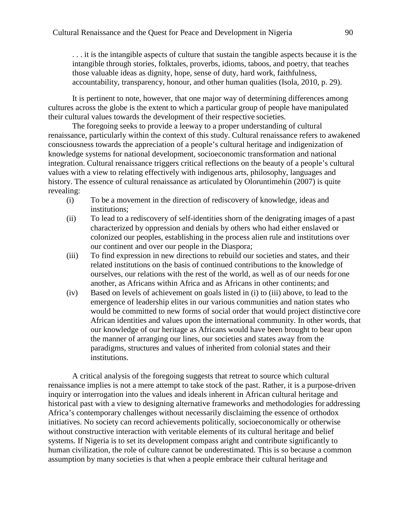. . . it is the intangible aspects of culture that sustain the tangible aspects because it is the intangible through stories, folktales, proverbs, idioms, taboos, and poetry, that teaches those valuable ideas as dignity, hope, sense of duty, hard work, faithfulness, accountability, transparency, honour, and other human qualities (Isola, 2010, p. 29).

It is pertinent to note, however, that one major way of determining differences among cultures across the globe is the extent to which a particular group of people have manipulated their cultural values towards the development of their respective societies.

The foregoing seeks to provide a leeway to a proper understanding of cultural renaissance, particularly within the context of this study. Cultural renaissance refers to awakened consciousness towards the appreciation of a people's cultural heritage and indigenization of knowledge systems for national development, socioeconomic transformation and national integration. Cultural renaissance triggers critical reflections on the beauty of a people's cultural values with a view to relating effectively with indigenous arts, philosophy, languages and history. The essence of cultural renaissance as articulated by Oloruntimehin (2007) is quite revealing:

- (i) To be a movement in the direction of rediscovery of knowledge, ideas and institutions;
- (ii) To lead to a rediscovery of self-identities shorn of the denigrating images of a past characterized by oppression and denials by others who had either enslaved or colonized our peoples, establishing in the process alien rule and institutions over our continent and over our people in the Diaspora;
- (iii) To find expression in new directions to rebuild our societies and states, and their related institutions on the basis of continued contributions to the knowledge of ourselves, our relations with the rest of the world, as well as of our needs for one another, as Africans within Africa and as Africans in other continents; and
- (iv) Based on levels of achievement on goals listed in (i) to (iii) above, to lead to the emergence of leadership elites in our various communities and nation states who would be committed to new forms of social order that would project distinctive core African identities and values upon the international community. In other words, that our knowledge of our heritage as Africans would have been brought to bear upon the manner of arranging our lines, our societies and states away from the paradigms, structures and values of inherited from colonial states and their institutions.

A critical analysis of the foregoing suggests that retreat to source which cultural renaissance implies is not a mere attempt to take stock of the past. Rather, it is a purpose-driven inquiry or interrogation into the values and ideals inherent in African cultural heritage and historical past with a view to designing alternative frameworks and methodologies for addressing Africa's contemporary challenges without necessarily disclaiming the essence of orthodox initiatives. No society can record achievements politically, socioeconomically or otherwise without constructive interaction with veritable elements of its cultural heritage and belief systems. If Nigeria is to set its development compass aright and contribute significantly to human civilization, the role of culture cannot be underestimated. This is so because a common assumption by many societies is that when a people embrace their cultural heritage and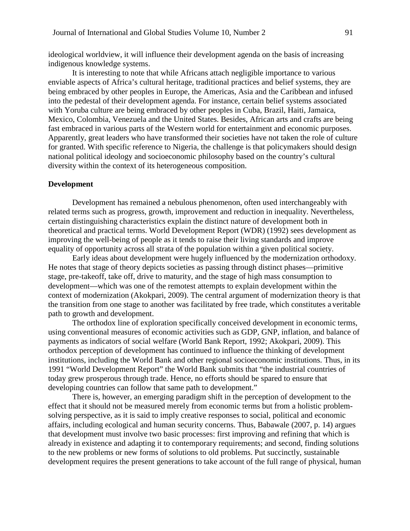ideological worldview, it will influence their development agenda on the basis of increasing indigenous knowledge systems.

It is interesting to note that while Africans attach negligible importance to various enviable aspects of Africa's cultural heritage, traditional practices and belief systems, they are being embraced by other peoples in Europe, the Americas, Asia and the Caribbean and infused into the pedestal of their development agenda. For instance, certain belief systems associated with Yoruba culture are being embraced by other peoples in Cuba, Brazil, Haiti, Jamaica, Mexico, Colombia, Venezuela and the United States. Besides, African arts and crafts are being fast embraced in various parts of the Western world for entertainment and economic purposes. Apparently, great leaders who have transformed their societies have not taken the role of culture for granted. With specific reference to Nigeria, the challenge is that policymakers should design national political ideology and socioeconomic philosophy based on the country's cultural diversity within the context of its heterogeneous composition.

#### **Development**

Development has remained a nebulous phenomenon, often used interchangeably with related terms such as progress, growth, improvement and reduction in inequality. Nevertheless, certain distinguishing characteristics explain the distinct nature of development both in theoretical and practical terms. World Development Report (WDR) (1992) sees development as improving the well-being of people as it tends to raise their living standards and improve equality of opportunity across all strata of the population within a given political society.

Early ideas about development were hugely influenced by the modernization orthodoxy. He notes that stage of theory depicts societies as passing through distinct phases—primitive stage, pre-takeoff, take off, drive to maturity, and the stage of high mass consumption to development—which was one of the remotest attempts to explain development within the context of modernization (Akokpari, 2009). The central argument of modernization theory is that the transition from one stage to another was facilitated by free trade, which constitutes a veritable path to growth and development.

The orthodox line of exploration specifically conceived development in economic terms, using conventional measures of economic activities such as GDP, GNP, inflation, and balance of payments as indicators of social welfare (World Bank Report, 1992; Akokpari, 2009). This orthodox perception of development has continued to influence the thinking of development institutions, including the World Bank and other regional socioeconomic institutions. Thus, in its 1991 "World Development Report" the World Bank submits that "the industrial countries of today grew prosperous through trade. Hence, no efforts should be spared to ensure that developing countries can follow that same path to development."

There is, however, an emerging paradigm shift in the perception of development to the effect that it should not be measured merely from economic terms but from a holistic problemsolving perspective, as it is said to imply creative responses to social, political and economic affairs, including ecological and human security concerns. Thus, Babawale (2007, p. 14) argues that development must involve two basic processes: first improving and refining that which is already in existence and adapting it to contemporary requirements; and second, finding solutions to the new problems or new forms of solutions to old problems. Put succinctly, sustainable development requires the present generations to take account of the full range of physical, human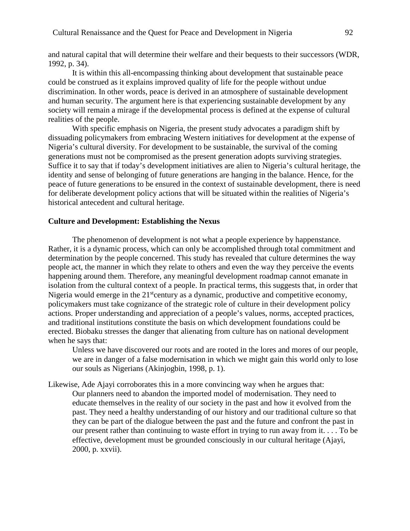and natural capital that will determine their welfare and their bequests to their successors (WDR, 1992, p. 34).

It is within this all-encompassing thinking about development that sustainable peace could be construed as it explains improved quality of life for the people without undue discrimination. In other words, peace is derived in an atmosphere of sustainable development and human security. The argument here is that experiencing sustainable development by any society will remain a mirage if the developmental process is defined at the expense of cultural realities of the people.

With specific emphasis on Nigeria, the present study advocates a paradigm shift by dissuading policymakers from embracing Western initiatives for development at the expense of Nigeria's cultural diversity. For development to be sustainable, the survival of the coming generations must not be compromised as the present generation adopts surviving strategies. Suffice it to say that if today's development initiatives are alien to Nigeria's cultural heritage, the identity and sense of belonging of future generations are hanging in the balance. Hence, for the peace of future generations to be ensured in the context of sustainable development, there is need for deliberate development policy actions that will be situated within the realities of Nigeria's historical antecedent and cultural heritage.

# **Culture and Development: Establishing the Nexus**

The phenomenon of development is not what a people experience by happenstance. Rather, it is a dynamic process, which can only be accomplished through total commitment and determination by the people concerned. This study has revealed that culture determines the way people act, the manner in which they relate to others and even the way they perceive the events happening around them. Therefore, any meaningful development roadmap cannot emanate in isolation from the cultural context of a people. In practical terms, this suggests that, in order that Nigeria would emerge in the  $21<sup>st</sup>$ century as a dynamic, productive and competitive economy, policymakers must take cognizance of the strategic role of culture in their development policy actions. Proper understanding and appreciation of a people's values, norms, accepted practices, and traditional institutions constitute the basis on which development foundations could be erected. Biobaku stresses the danger that alienating from culture has on national development when he says that:

Unless we have discovered our roots and are rooted in the lores and mores of our people, we are in danger of a false modernisation in which we might gain this world only to lose our souls as Nigerians (Akinjogbin, 1998, p. 1).

Likewise, Ade Ajayi corroborates this in a more convincing way when he argues that: Our planners need to abandon the imported model of modernisation. They need to educate themselves in the reality of our society in the past and how it evolved from the past. They need a healthy understanding of our history and our traditional culture so that they can be part of the dialogue between the past and the future and confront the past in our present rather than continuing to waste effort in trying to run away from it. . . . To be effective, development must be grounded consciously in our cultural heritage (Ajayi, 2000, p. xxvii).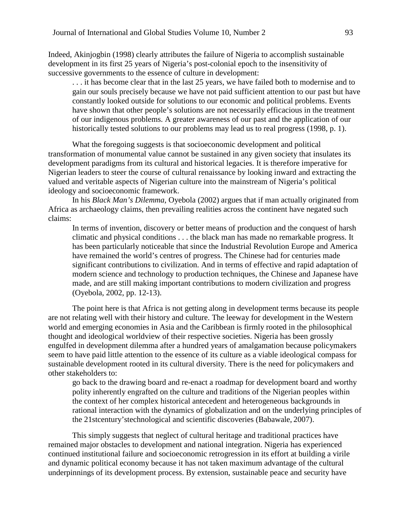Indeed, Akinjogbin (1998) clearly attributes the failure of Nigeria to accomplish sustainable development in its first 25 years of Nigeria's post-colonial epoch to the insensitivity of successive governments to the essence of culture in development:

. . . it has become clear that in the last 25 years, we have failed both to modernise and to gain our souls precisely because we have not paid sufficient attention to our past but have constantly looked outside for solutions to our economic and political problems. Events have shown that other people's solutions are not necessarily efficacious in the treatment of our indigenous problems. A greater awareness of our past and the application of our historically tested solutions to our problems may lead us to real progress (1998, p. 1).

What the foregoing suggests is that socioeconomic development and political transformation of monumental value cannot be sustained in any given society that insulates its development paradigms from its cultural and historical legacies. It is therefore imperative for Nigerian leaders to steer the course of cultural renaissance by looking inward and extracting the valued and veritable aspects of Nigerian culture into the mainstream of Nigeria's political ideology and socioeconomic framework.

In his *Black Man's Dilemma*, Oyebola (2002) argues that if man actually originated from Africa as archaeology claims, then prevailing realities across the continent have negated such claims:

In terms of invention, discovery or better means of production and the conquest of harsh climatic and physical conditions . . . the black man has made no remarkable progress. It has been particularly noticeable that since the Industrial Revolution Europe and America have remained the world's centres of progress. The Chinese had for centuries made significant contributions to civilization. And in terms of effective and rapid adaptation of modern science and technology to production techniques, the Chinese and Japanese have made, and are still making important contributions to modern civilization and progress (Oyebola, 2002, pp. 12-13).

The point here is that Africa is not getting along in development terms because its people are not relating well with their history and culture. The leeway for development in the Western world and emerging economies in Asia and the Caribbean is firmly rooted in the philosophical thought and ideological worldview of their respective societies. Nigeria has been grossly engulfed in development dilemma after a hundred years of amalgamation because policymakers seem to have paid little attention to the essence of its culture as a viable ideological compass for sustainable development rooted in its cultural diversity. There is the need for policymakers and other stakeholders to:

go back to the drawing board and re-enact a roadmap for development board and worthy polity inherently engrafted on the culture and traditions of the Nigerian peoples within the context of her complex historical antecedent and heterogeneous backgrounds in rational interaction with the dynamics of globalization and on the underlying principles of the 21stcentury'stechnological and scientific discoveries (Babawale, 2007).

This simply suggests that neglect of cultural heritage and traditional practices have remained major obstacles to development and national integration. Nigeria has experienced continued institutional failure and socioeconomic retrogression in its effort at building a virile and dynamic political economy because it has not taken maximum advantage of the cultural underpinnings of its development process. By extension, sustainable peace and security have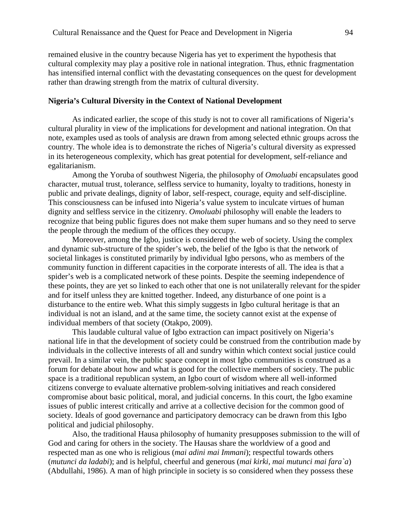remained elusive in the country because Nigeria has yet to experiment the hypothesis that cultural complexity may play a positive role in national integration. Thus, ethnic fragmentation has intensified internal conflict with the devastating consequences on the quest for development rather than drawing strength from the matrix of cultural diversity.

#### **Nigeria's Cultural Diversity in the Context of National Development**

As indicated earlier, the scope of this study is not to cover all ramifications of Nigeria's cultural plurality in view of the implications for development and national integration. On that note, examples used as tools of analysis are drawn from among selected ethnic groups across the country. The whole idea is to demonstrate the riches of Nigeria's cultural diversity as expressed in its heterogeneous complexity, which has great potential for development, self-reliance and egalitarianism.

Among the Yoruba of southwest Nigeria, the philosophy of *Omoluabi* encapsulates good character, mutual trust, tolerance, selfless service to humanity, loyalty to traditions, honesty in public and private dealings, dignity of labor, self-respect, courage, equity and self-discipline. This consciousness can be infused into Nigeria's value system to inculcate virtues of human dignity and selfless service in the citizenry. *Omoluabi* philosophy will enable the leaders to recognize that being public figures does not make them super humans and so they need to serve the people through the medium of the offices they occupy.

Moreover, among the Igbo, justice is considered the web of society. Using the complex and dynamic sub-structure of the spider's web, the belief of the Igbo is that the network of societal linkages is constituted primarily by individual Igbo persons, who as members of the community function in different capacities in the corporate interests of all. The idea is that a spider's web is a complicated network of these points. Despite the seeming independence of these points, they are yet so linked to each other that one is not unilaterally relevant for the spider and for itself unless they are knitted together. Indeed, any disturbance of one point is a disturbance to the entire web. What this simply suggests in Igbo cultural heritage is that an individual is not an island, and at the same time, the society cannot exist at the expense of individual members of that society (Otakpo, 2009).

This laudable cultural value of Igbo extraction can impact positively on Nigeria's national life in that the development of society could be construed from the contribution made by individuals in the collective interests of all and sundry within which context social justice could prevail. In a similar vein, the public space concept in most Igbo communities is construed as a forum for debate about how and what is good for the collective members of society. The public space is a traditional republican system, an Igbo court of wisdom where all well-informed citizens converge to evaluate alternative problem-solving initiatives and reach considered compromise about basic political, moral, and judicial concerns. In this court, the Igbo examine issues of public interest critically and arrive at a collective decision for the common good of society. Ideals of good governance and participatory democracy can be drawn from this Igbo political and judicial philosophy.

Also, the traditional Hausa philosophy of humanity presupposes submission to the will of God and caring for others in the society. The Hausas share the worldview of a good and respected man as one who is religious (*mai adini mai Immani*); respectful towards others (*mutunci da ladabi*); and is helpful, cheerful and generous (*mai kirki, mai mutunci mai fara`a*) (Abdullahi, 1986). A man of high principle in society is so considered when they possess these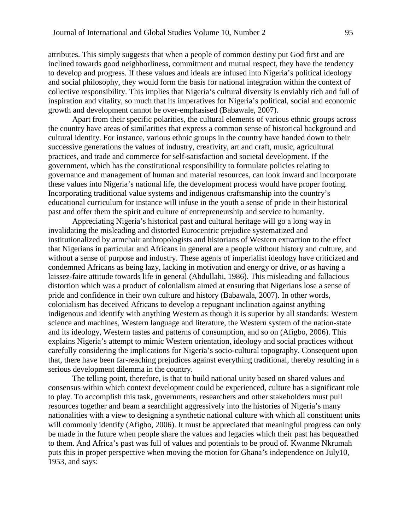attributes. This simply suggests that when a people of common destiny put God first and are inclined towards good neighborliness, commitment and mutual respect, they have the tendency to develop and progress. If these values and ideals are infused into Nigeria's political ideology and social philosophy, they would form the basis for national integration within the context of collective responsibility. This implies that Nigeria's cultural diversity is enviably rich and full of inspiration and vitality, so much that its imperatives for Nigeria's political, social and economic growth and development cannot be over-emphasised (Babawale, 2007).

Apart from their specific polarities, the cultural elements of various ethnic groups across the country have areas of similarities that express a common sense of historical background and cultural identity. For instance, various ethnic groups in the country have handed down to their successive generations the values of industry, creativity, art and craft, music, agricultural practices, and trade and commerce for self-satisfaction and societal development. If the government, which has the constitutional responsibility to formulate policies relating to governance and management of human and material resources, can look inward and incorporate these values into Nigeria's national life, the development process would have proper footing. Incorporating traditional value systems and indigenous craftsmanship into the country's educational curriculum for instance will infuse in the youth a sense of pride in their historical past and offer them the spirit and culture of entrepreneurship and service to humanity.

Appreciating Nigeria's historical past and cultural heritage will go a long way in invalidating the misleading and distorted Eurocentric prejudice systematized and institutionalized by armchair anthropologists and historians of Western extraction to the effect that Nigerians in particular and Africans in general are a people without history and culture, and without a sense of purpose and industry. These agents of imperialist ideology have criticized and condemned Africans as being lazy, lacking in motivation and energy or drive, or as having a laissez-faire attitude towards life in general (Abdullahi, 1986). This misleading and fallacious distortion which was a product of colonialism aimed at ensuring that Nigerians lose a sense of pride and confidence in their own culture and history (Babawala, 2007). In other words, colonialism has deceived Africans to develop a repugnant inclination against anything indigenous and identify with anything Western as though it is superior by all standards: Western science and machines, Western language and literature, the Western system of the nation-state and its ideology, Western tastes and patterns of consumption, and so on (Afigbo, 2006). This explains Nigeria's attempt to mimic Western orientation, ideology and social practices without carefully considering the implications for Nigeria's socio-cultural topography. Consequent upon that, there have been far-reaching prejudices against everything traditional, thereby resulting in a serious development dilemma in the country.

The telling point, therefore, is that to build national unity based on shared values and consensus within which context development could be experienced, culture has a significant role to play. To accomplish this task, governments, researchers and other stakeholders must pull resources together and beam a searchlight aggressively into the histories of Nigeria's many nationalities with a view to designing a synthetic national culture with which all constituent units will commonly identify (Afigbo, 2006). It must be appreciated that meaningful progress can only be made in the future when people share the values and legacies which their past has bequeathed to them. And Africa's past was full of values and potentials to be proud of. Kwanme Nkrumah puts this in proper perspective when moving the motion for Ghana's independence on July10, 1953, and says: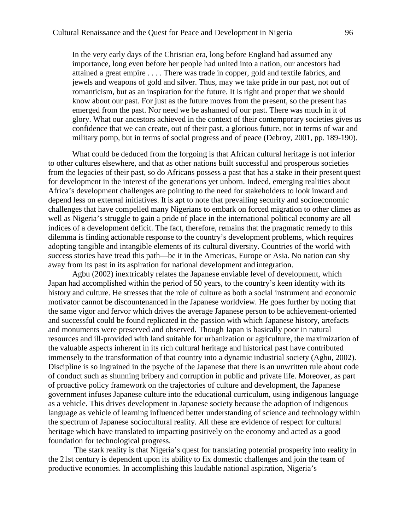In the very early days of the Christian era, long before England had assumed any importance, long even before her people had united into a nation, our ancestors had attained a great empire . . . . There was trade in copper, gold and textile fabrics, and jewels and weapons of gold and silver. Thus, may we take pride in our past, not out of romanticism, but as an inspiration for the future. It is right and proper that we should know about our past. For just as the future moves from the present, so the present has emerged from the past. Nor need we be ashamed of our past. There was much in it of glory. What our ancestors achieved in the context of their contemporary societies gives us confidence that we can create, out of their past, a glorious future, not in terms of war and military pomp, but in terms of social progress and of peace (Debroy, 2001, pp. 189-190).

What could be deduced from the forgoing is that African cultural heritage is not inferior to other cultures elsewhere, and that as other nations built successful and prosperous societies from the legacies of their past, so do Africans possess a past that has a stake in their present quest for development in the interest of the generations yet unborn. Indeed, emerging realities about Africa's development challenges are pointing to the need for stakeholders to look inward and depend less on external initiatives. It is apt to note that prevailing security and socioeconomic challenges that have compelled many Nigerians to embark on forced migration to other climes as well as Nigeria's struggle to gain a pride of place in the international political economy are all indices of a development deficit. The fact, therefore, remains that the pragmatic remedy to this dilemma is finding actionable response to the country's development problems, which requires adopting tangible and intangible elements of its cultural diversity. Countries of the world with success stories have tread this path—be it in the Americas, Europe or Asia. No nation can shy away from its past in its aspiration for national development and integration.

Agbu (2002) inextricably relates the Japanese enviable level of development, which Japan had accomplished within the period of 50 years, to the country's keen identity with its history and culture. He stresses that the role of culture as both a social instrument and economic motivator cannot be discountenanced in the Japanese worldview. He goes further by noting that the same vigor and fervor which drives the average Japanese person to be achievement-oriented and successful could be found replicated in the passion with which Japanese history, artefacts and monuments were preserved and observed. Though Japan is basically poor in natural resources and ill-provided with land suitable for urbanization or agriculture, the maximization of the valuable aspects inherent in its rich cultural heritage and historical past have contributed immensely to the transformation of that country into a dynamic industrial society (Agbu, 2002). Discipline is so ingrained in the psyche of the Japanese that there is an unwritten rule about code of conduct such as shunning bribery and corruption in public and private life. Moreover, as part of proactive policy framework on the trajectories of culture and development, the Japanese government infuses Japanese culture into the educational curriculum, using indigenous language as a vehicle. This drives development in Japanese society because the adoption of indigenous language as vehicle of learning influenced better understanding of science and technology within the spectrum of Japanese sociocultural reality. All these are evidence of respect for cultural heritage which have translated to impacting positively on the economy and acted as a good foundation for technological progress.

The stark reality is that Nigeria's quest for translating potential prosperity into reality in the 21st century is dependent upon its ability to fix domestic challenges and join the team of productive economies. In accomplishing this laudable national aspiration, Nigeria's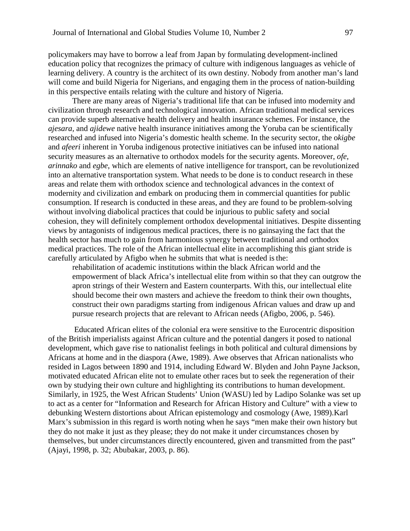policymakers may have to borrow a leaf from Japan by formulating development-inclined education policy that recognizes the primacy of culture with indigenous languages as vehicle of learning delivery. A country is the architect of its own destiny. Nobody from another man's land will come and build Nigeria for Nigerians, and engaging them in the process of nation-building in this perspective entails relating with the culture and history of Nigeria.

There are many areas of Nigeria's traditional life that can be infused into modernity and civilization through research and technological innovation. African traditional medical services can provide superb alternative health delivery and health insurance schemes. For instance, the *ajesara,* and *ajidewe* native health insurance initiatives among the Yoruba can be scientifically researched and infused into Nigeria's domestic health scheme. In the security sector, the o*kigbe*  and *afeeri* inherent in Yoruba indigenous protective initiatives can be infused into national security measures as an alternative to orthodox models for the security agents. Moreover, *ofe*, *arinnako* and *egbe*, which are elements of native intelligence for transport, can be revolutionized into an alternative transportation system. What needs to be done is to conduct research in these areas and relate them with orthodox science and technological advances in the context of modernity and civilization and embark on producing them in commercial quantities for public consumption. If research is conducted in these areas, and they are found to be problem-solving without involving diabolical practices that could be injurious to public safety and social cohesion, they will definitely complement orthodox developmental initiatives. Despite dissenting views by antagonists of indigenous medical practices, there is no gainsaying the fact that the health sector has much to gain from harmonious synergy between traditional and orthodox medical practices. The role of the African intellectual elite in accomplishing this giant stride is carefully articulated by Afigbo when he submits that what is needed isthe:

rehabilitation of academic institutions within the black African world and the empowerment of black Africa's intellectual elite from within so that they can outgrow the apron strings of their Western and Eastern counterparts. With this, our intellectual elite should become their own masters and achieve the freedom to think their own thoughts, construct their own paradigms starting from indigenous African values and draw up and pursue research projects that are relevant to African needs (Afigbo, 2006, p. 546).

Educated African elites of the colonial era were sensitive to the Eurocentric disposition of the British imperialists against African culture and the potential dangers it posed to national development, which gave rise to nationalist feelings in both political and cultural dimensions by Africans at home and in the diaspora (Awe, 1989). Awe observes that African nationalists who resided in Lagos between 1890 and 1914, including Edward W. Blyden and John Payne Jackson, motivated educated African elite not to emulate other races but to seek the regeneration of their own by studying their own culture and highlighting its contributions to human development. Similarly, in 1925, the West African Students' Union (WASU) led by Ladipo Solanke was set up to act as a center for "Information and Research for African History and Culture" with a view to debunking Western distortions about African epistemology and cosmology (Awe, 1989).Karl Marx's submission in this regard is worth noting when he says "men make their own history but they do not make it just as they please; they do not make it under circumstances chosen by themselves, but under circumstances directly encountered, given and transmitted from the past" (Ajayi, 1998, p. 32; Abubakar, 2003, p. 86).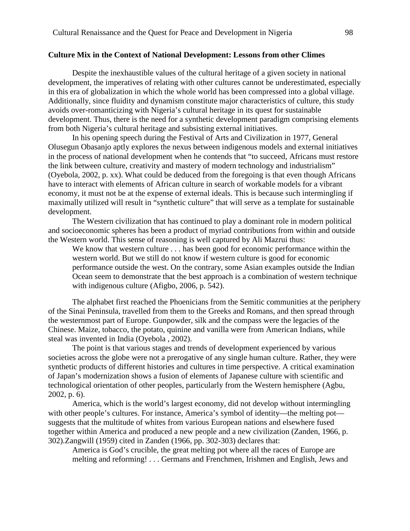#### **Culture Mix in the Context of National Development: Lessons from other Climes**

Despite the inexhaustible values of the cultural heritage of a given society in national development, the imperatives of relating with other cultures cannot be underestimated, especially in this era of globalization in which the whole world has been compressed into a global village. Additionally, since fluidity and dynamism constitute major characteristics of culture, this study avoids over-romanticizing with Nigeria's cultural heritage in its quest for sustainable development. Thus, there is the need for a synthetic development paradigm comprising elements from both Nigeria's cultural heritage and subsisting external initiatives.

In his opening speech during the Festival of Arts and Civilization in 1977, General Olusegun Obasanjo aptly explores the nexus between indigenous models and external initiatives in the process of national development when he contends that "to succeed, Africans must restore the link between culture, creativity and mastery of modern technology and industrialism" (Oyebola, 2002, p. xx). What could be deduced from the foregoing is that even though Africans have to interact with elements of African culture in search of workable models for a vibrant economy, it must not be at the expense of external ideals. This is because such intermingling if maximally utilized will result in "synthetic culture" that will serve as a template for sustainable development.

The Western civilization that has continued to play a dominant role in modern political and socioeconomic spheres has been a product of myriad contributions from within and outside the Western world. This sense of reasoning is well captured by Ali Mazrui thus:

We know that western culture . . . has been good for economic performance within the western world. But we still do not know if western culture is good for economic performance outside the west. On the contrary, some Asian examples outside the Indian Ocean seem to demonstrate that the best approach is a combination of western technique with indigenous culture (Afigbo, 2006, p. 542).

The alphabet first reached the Phoenicians from the Semitic communities at the periphery of the Sinai Peninsula, travelled from them to the Greeks and Romans, and then spread through the westernmost part of Europe. Gunpowder, silk and the compass were the legacies of the Chinese. Maize, tobacco, the potato, quinine and vanilla were from American Indians, while steal was invented in India (Oyebola , 2002).

The point is that various stages and trends of development experienced by various societies across the globe were not a prerogative of any single human culture. Rather, they were synthetic products of different histories and cultures in time perspective. A critical examination of Japan's modernization shows a fusion of elements of Japanese culture with scientific and technological orientation of other peoples, particularly from the Western hemisphere (Agbu, 2002, p. 6).

America, which is the world's largest economy, did not develop without intermingling with other people's cultures. For instance, America's symbol of identity—the melting pot suggests that the multitude of whites from various European nations and elsewhere fused together within America and produced a new people and a new civilization (Zanden, 1966, p. 302).Zangwill (1959) cited in Zanden (1966, pp. 302-303) declares that:

America is God's crucible, the great melting pot where all the races of Europe are melting and reforming! . . . Germans and Frenchmen, Irishmen and English, Jews and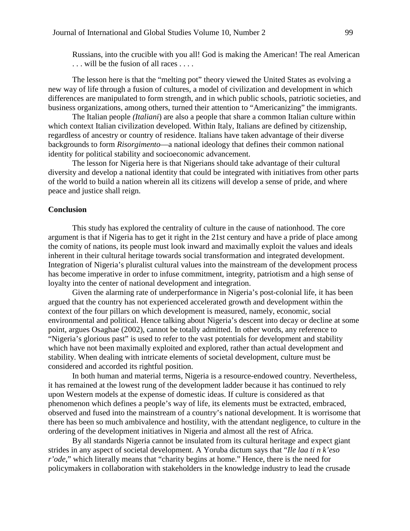Russians, into the crucible with you all! God is making the American! The real American ... will be the fusion of all races ....

The lesson here is that the "melting pot" theory viewed the United States as evolving a new way of life through a fusion of cultures, a model of civilization and development in which differences are manipulated to form strength, and in which public schools, patriotic societies, and business organizations, among others, turned their attention to "Americanizing" the immigrants.

The Italian people *(Italiani*) are also a people that share a common Italian culture within which context Italian civilization developed. Within Italy, Italians are defined by citizenship, regardless of ancestry or country of residence. Italians have taken advantage of their diverse backgrounds to form *Risorgimento*—a national ideology that defines their common national identity for political stability and socioeconomic advancement.

The lesson for Nigeria here is that Nigerians should take advantage of their cultural diversity and develop a national identity that could be integrated with initiatives from other parts of the world to build a nation wherein all its citizens will develop a sense of pride, and where peace and justice shall reign.

#### **Conclusion**

This study has explored the centrality of culture in the cause of nationhood. The core argument is that if Nigeria has to get it right in the 21st century and have a pride of place among the comity of nations, its people must look inward and maximally exploit the values and ideals inherent in their cultural heritage towards social transformation and integrated development. Integration of Nigeria's pluralist cultural values into the mainstream of the development process has become imperative in order to infuse commitment, integrity, patriotism and a high sense of loyalty into the center of national development and integration.

Given the alarming rate of underperformance in Nigeria's post-colonial life, it has been argued that the country has not experienced accelerated growth and development within the context of the four pillars on which development is measured, namely, economic, social environmental and political. Hence talking about Nigeria's descent into decay or decline at some point, argues Osaghae (2002), cannot be totally admitted. In other words, any reference to "Nigeria's glorious past" is used to refer to the vast potentials for development and stability which have not been maximally exploited and explored, rather than actual development and stability. When dealing with intricate elements of societal development, culture must be considered and accorded its rightful position.

In both human and material terms, Nigeria is a resource-endowed country. Nevertheless, it has remained at the lowest rung of the development ladder because it has continued to rely upon Western models at the expense of domestic ideas. If culture is considered as that phenomenon which defines a people's way of life, its elements must be extracted, embraced, observed and fused into the mainstream of a country's national development. It is worrisome that there has been so much ambivalence and hostility, with the attendant negligence, to culture in the ordering of the development initiatives in Nigeria and almost all the rest of Africa.

By all standards Nigeria cannot be insulated from its cultural heritage and expect giant strides in any aspect of societal development. A Yoruba dictum says that "*Ile laa ti n k'eso r'ode*," which literally means that "charity begins at home." Hence, there is the need for policymakers in collaboration with stakeholders in the knowledge industry to lead the crusade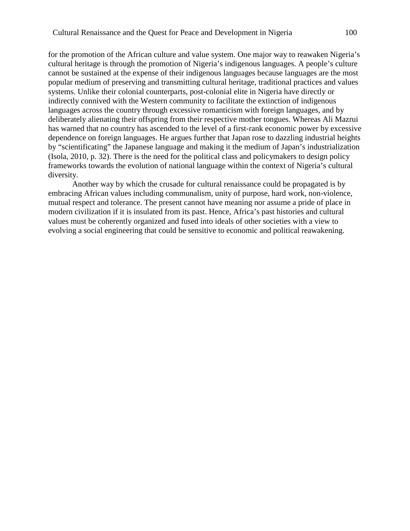for the promotion of the African culture and value system. One major way to reawaken Nigeria's cultural heritage is through the promotion of Nigeria's indigenous languages. A people's culture cannot be sustained at the expense of their indigenous languages because languages are the most popular medium of preserving and transmitting cultural heritage, traditional practices and values systems. Unlike their colonial counterparts, post-colonial elite in Nigeria have directly or indirectly connived with the Western community to facilitate the extinction of indigenous languages across the country through excessive romanticism with foreign languages, and by deliberately alienating their offspring from their respective mother tongues. Whereas Ali Mazrui has warned that no country has ascended to the level of a first-rank economic power by excessive dependence on foreign languages. He argues further that Japan rose to dazzling industrial heights by "scientificating" the Japanese language and making it the medium of Japan's industrialization (Isola, 2010, p. 32). There is the need for the political class and policymakers to design policy frameworks towards the evolution of national language within the context of Nigeria's cultural diversity.

Another way by which the crusade for cultural renaissance could be propagated is by embracing African values including communalism, unity of purpose, hard work, non-violence, mutual respect and tolerance. The present cannot have meaning nor assume a pride of place in modern civilization if it is insulated from its past. Hence, Africa's past histories and cultural values must be coherently organized and fused into ideals of other societies with a view to evolving a social engineering that could be sensitive to economic and political reawakening.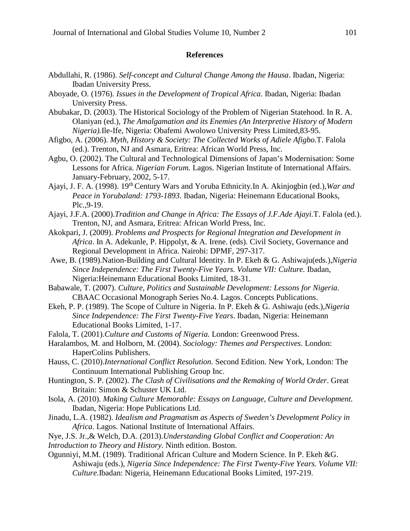#### **References**

- Abdullahi, R. (1986). *Self-concept and Cultural Change Among the Hausa*. Ibadan, Nigeria: Ibadan University Press.
- Aboyade, O. (1976). *Issues in the Development of Tropical Africa*. Ibadan, Nigeria: Ibadan University Press.
- Abubakar, D. (2003). The Historical Sociology of the Problem of Nigerian Statehood. In R. A. Olaniyan (ed.), *The Amalgamation and its Enemies (An Interpretive History of Modern Nigeria).*Ile-Ife, Nigeria: Obafemi Awolowo University Press Limited,83-95.
- Afigbo, A. (2006). *Myth, History & Society: The Collected Works of Adiele Afigbo.*T. Falola (ed.). Trenton, NJ and Asmara, Eritrea: African World Press, Inc.
- Agbu, O. (2002). The Cultural and Technological Dimensions of Japan's Modernisation: Some Lessons for Africa. *Nigerian Forum.* Lagos. Nigerian Institute of International Affairs. January-February, 2002, 5-17.
- Ajayi, J. F. A. (1998). 19th Century Wars and Yoruba Ethnicity*.*In A. Akinjogbin (ed.),*War and Peace in Yorubaland: 1793-1893*. Ibadan, Nigeria: Heinemann Educational Books, Plc.,9-19.
- Ajayi, J.F.A. (2000).*Tradition and Change in Africa: The Essays of J.F.Ade Ajayi.*T. Falola (ed.). Trenton, NJ, and Asmara, Eritrea: African World Press, Inc.
- Akokpari, J. (2009). *Problems and Prospects for Regional Integration and Development in Africa*. In A. Adekunle, P. Hippolyt, & A. Irene. (eds). Civil Society, Governance and Regional Development in Africa. Nairobi: DPMF, 297-317.
- Awe, B. (1989).Nation-Building and Cultural Identity. In P. Ekeh & G. Ashiwaju(eds.),*Nigeria Since Independence: The First Twenty-Five Years. Volume VII: Culture. Ibadan,* Nigeria:Heinemann Educational Books Limited, 18-31.
- Babawale, T. (2007). *Culture, Politics and Sustainable Development: Lessons for Nigeria.* CBAAC Occasional Monograph Series No.4. Lagos. Concepts Publications.
- Ekeh, P. P. (1989). The Scope of Culture in Nigeria. In P. Ekeh & G. Ashiwaju (eds.),*Nigeria Since Independence: The First Twenty-Five Years*. Ibadan, Nigeria: Heinemann Educational Books Limited, 1-17.
- Falola, T. (2001).*Culture and Customs of Nigeria.* London: Greenwood Press.
- Haralambos, M. and Holborn, M. (2004). *Sociology: Themes and Perspectives*. London: HaperColins Publishers.
- Hauss, C. (2010).*International Conflict Resolution.* Second Edition. New York, London: The Continuum International Publishing Group Inc.
- Huntington, S. P. (2002). *The Clash of Civilisations and the Remaking of World Order*. Great Britain: Simon & Schuster UK Ltd.
- Isola, A. (2010). *Making Culture Memorable: Essays on Language, Culture and Development.* Ibadan, Nigeria: Hope Publications Ltd.
- Jinadu, L.A. (1982). *Idealism and Pragmatism as Aspects of Sweden's Development Policy in Africa*. Lagos. National Institute of International Affairs.
- Nye, J.S. Jr.,& Welch, D.A. (2013).*Understanding Global Conflict and Cooperation: An Introduction to Theory and History.* Ninth edition. Boston.
- Ogunniyi, M.M. (1989). Traditional African Culture and Modern Science. In P. Ekeh &G. Ashiwaju (eds.), *Nigeria Since Independence: The First Twenty-Five Years. Volume VII: Culture.*Ibadan: Nigeria, Heinemann Educational Books Limited, 197-219.